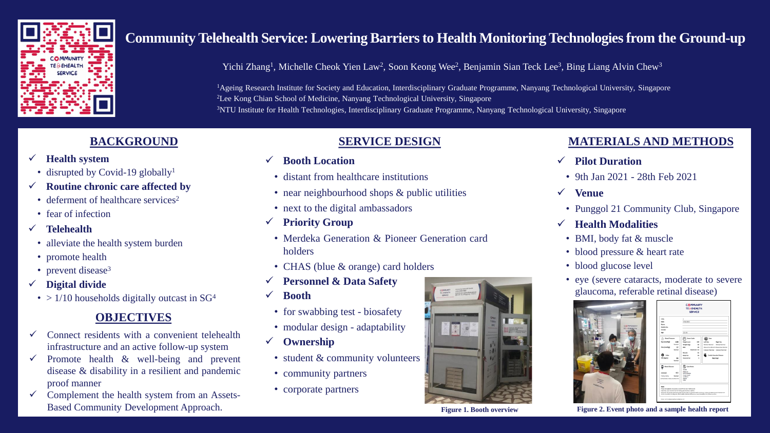

# **Community Telehealth Service: Lowering Barriers to Health Monitoring Technologies from the Ground-up**

Yichi Zhang<sup>1</sup>, Michelle Cheok Yien Law<sup>2</sup>, Soon Keong Wee<sup>2</sup>, Benjamin Sian Teck Lee<sup>3</sup>, Bing Liang Alvin Chew<sup>3</sup>

<sup>1</sup>Ageing Research Institute for Society and Education, Interdisciplinary Graduate Programme, Nanyang Technological University, Singapore <sup>2</sup>Lee Kong Chian School of Medicine, Nanyang Technological University, Singapore <sup>3</sup>NTU Institute for Health Technologies, Interdisciplinary Graduate Programme, Nanyang Technological University, Singapore

## **BACKGROUND**

- ✓ **Health system**
- disrupted by Covid-19 globally<sup>1</sup>
- ✓ **Routine chronic care affected by**
- deferment of healthcare services<sup>2</sup>
- fear of infection
- ✓ **Telehealth**
- alleviate the health system burden
- promote health
- prevent disease<sup>3</sup>
- ✓ **Digital divide**
- $> 1/10$  households digitally outcast in SG<sup>4</sup>

## **OBJECTIVES**

- Connect residents with a convenient telehealth infrastructure and an active follow-up system
- $\checkmark$  Promote health & well-being and prevent disease & disability in a resilient and pandemic proof manner
- ✓ Complement the health system from an Assets-Based Community Development Approach.

## **SERVICE DESIGN**

- ✓ **Booth Location**
- distant from healthcare institutions
- near neighbourhood shops & public utilities
- next to the digital ambassadors
- ✓ **Priority Group**
- Merdeka Generation & Pioneer Generation card holders
- CHAS (blue & orange) card holders
- ✓ **Personnel & Data Safety**
- ✓ **Booth**
- for swabbing test biosafety
- modular design adaptability
- ✓ **Ownership**
	- student & community volunteers
	- community partners
	- corporate partners



#### **Figure 1. Booth overview**

## **MATERIALS AND METHODS**

- ✓ **Pilot Duration**
- 9th Jan 2021 28th Feb 2021
- ✓ **Venue**
- Punggol 21 Community Club, Singapore
- ✓ **Health Modalities**
- BMI, body fat & muscle
- blood pressure & heart rate
- blood glucose level
- eye (severe cataracts, moderate to severe glaucoma, referable retinal disease)



**COMMUNITY**<br>TE SENEALTH

**Figure 2. Event photo and a sample health report**